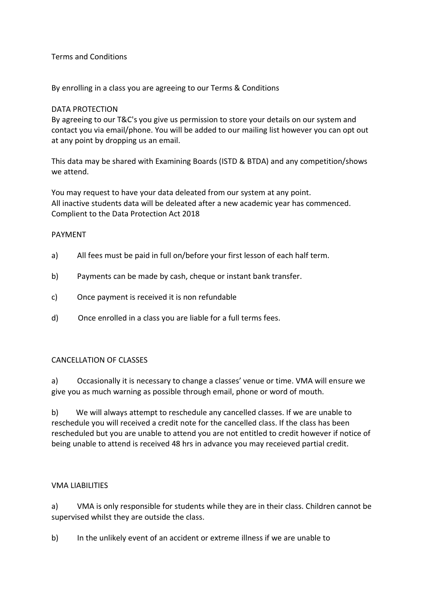## Terms and Conditions

By enrolling in a class you are agreeing to our Terms & Conditions

#### DATA PROTECTION

By agreeing to our T&C's you give us permission to store your details on our system and contact you via email/phone. You will be added to our mailing list however you can opt out at any point by dropping us an email.

This data may be shared with Examining Boards (ISTD & BTDA) and any competition/shows we attend.

You may request to have your data deleated from our system at any point. All inactive students data will be deleated after a new academic year has commenced. Complient to the Data Protection Act 2018

#### PAYMENT

- a) All fees must be paid in full on/before your first lesson of each half term.
- b) Payments can be made by cash, cheque or instant bank transfer.
- c) Once payment is received it is non refundable
- d) Once enrolled in a class you are liable for a full terms fees.

#### CANCELLATION OF CLASSES

a) Occasionally it is necessary to change a classes' venue or time. VMA will ensure we give you as much warning as possible through email, phone or word of mouth.

b) We will always attempt to reschedule any cancelled classes. If we are unable to reschedule you will received a credit note for the cancelled class. If the class has been rescheduled but you are unable to attend you are not entitled to credit however if notice of being unable to attend is received 48 hrs in advance you may receieved partial credit.

#### VMA LIABILITIES

a) VMA is only responsible for students while they are in their class. Children cannot be supervised whilst they are outside the class.

b) In the unlikely event of an accident or extreme illness if we are unable to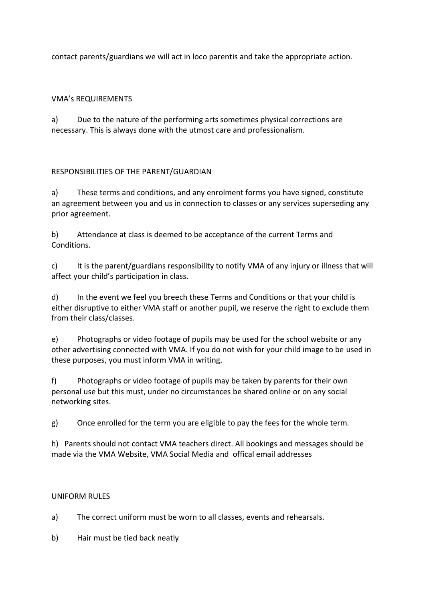contact parents/guardians we will act in loco parentis and take the appropriate action.

## VMA's REQUIREMENTS

a) Due to the nature of the performing arts sometimes physical corrections are necessary. This is always done with the utmost care and professionalism.

# RESPONSIBILITIES OF THE PARENT/GUARDIAN

a) These terms and conditions, and any enrolment forms you have signed, constitute an agreement between you and us in connection to classes or any services superseding any prior agreement.

b) Attendance at class is deemed to be acceptance of the current Terms and Conditions.

c) It is the parent/guardians responsibility to notify VMA of any injury or illness that will affect your child's participation in class.

d) In the event we feel you breech these Terms and Conditions or that your child is either disruptive to either VMA staff or another pupil, we reserve the right to exclude them from their class/classes.

e) Photographs or video footage of pupils may be used for the school website or any other advertising connected with VMA. If you do not wish for your child image to be used in these purposes, you must inform VMA in writing.

f) Photographs or video footage of pupils may be taken by parents for their own personal use but this must, under no circumstances be shared online or on any social networking sites.

g) Once enrolled for the term you are eligible to pay the fees for the whole term.

h) Parents should not contact VMA teachers direct. All bookings and messages should be made via the VMA Website, VMA Social Media and offical email addresses

## UNIFORM RULES

a) The correct uniform must be worn to all classes, events and rehearsals.

b) Hair must be tied back neatly